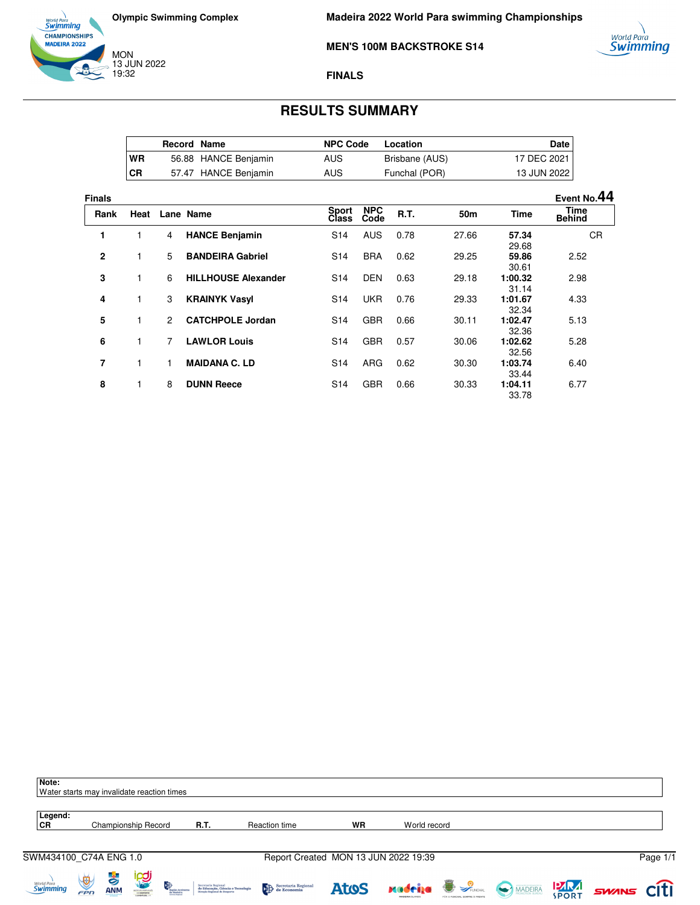







#### **FINALS**

## **RESULTS SUMMARY**

|    | <b>Record Name</b> |                      | <b>NPC Code</b> | Location       | Date I        |
|----|--------------------|----------------------|-----------------|----------------|---------------|
| WR |                    | 56.88 HANCE Benjamin | AUS             | Brisbane (AUS) | 17 DEC 2021 I |
| CR |                    | 57.47 HANCE Benjamin | AUS             | Funchal (POR)  | 13 JUN 2022   |

**Finals Event No.44 Rank Heat Lane Name Class NPC Code R.T. 50m Time Time Behind 1** 1 4 **HANCE Benjamin** S14 AUS 0.78 27.66 **57.34** 29.68<br>59.86 CR **2** 1 5 **BANDEIRA Gabriel** S14 BRA 0.62 29.25 **59.86** 30.61<br>1:00.32 2.52 **3** 1 6 **HILLHOUSE Alexander** S14 DEN 0.63 29.18 **1:00.32**  $31.14$ <br>1:01.67 2.98 **4** 1 3 **KRAINYK Vasyl** S14 UKR 0.76 29.33 **1:01.67** 32.34<br>1:02.47 4.33 **5** 1 2 **CATCHPOLE Jordan** S14 GBR 0.66 30.11 **1:02.47** 32.36<br>1:02.62 5.13 **6** 1 7 **LAWLOR Louis** S14 GBR 0.57 30.06 **1:02.62** 32.56<br>1:03.74 5.28 **7** 1 1 **MAIDANA C. LD** S14 ARG 0.62 30.30 **1:03.74** 33.44<br>**1:04.11**  6.40 **8** 1 8 **DUNN Reece** S14 GBR 0.66 30.33 33.78 6.77

| Note:                             | Water starts may invalidate reaction times |                  |                                    |                                                                                                                              |                                                                                                                                                                                                                                                                                                                                                                                                                                                                |                                      |              |                                  |                   |          |
|-----------------------------------|--------------------------------------------|------------------|------------------------------------|------------------------------------------------------------------------------------------------------------------------------|----------------------------------------------------------------------------------------------------------------------------------------------------------------------------------------------------------------------------------------------------------------------------------------------------------------------------------------------------------------------------------------------------------------------------------------------------------------|--------------------------------------|--------------|----------------------------------|-------------------|----------|
| Legend:<br>CR                     |                                            |                  | Championship Record                | R.T.                                                                                                                         | Reaction time                                                                                                                                                                                                                                                                                                                                                                                                                                                  | WR                                   | World record |                                  |                   |          |
| SWM434100_C74A ENG 1.0            |                                            |                  |                                    |                                                                                                                              |                                                                                                                                                                                                                                                                                                                                                                                                                                                                | Report Created MON 13 JUN 2022 19:39 |              |                                  |                   | Page 1/1 |
| <sub>World Para</sub><br>Swimming | $\bigcirc$<br>FPD                          | より<br><b>ANM</b> | <b>POI</b><br>晚<br>STIVIO FORTUGUE | Secretaria Regional<br>de Educação, Ciência e Tecnologia<br>Direção Regional de Desporto<br><b>Região Autó</b><br>da Madeira | $\begin{tabular}{ c c } \hline \end{tabular} \begin{tabular}{ c c } \hline Speculation & \end{tabular} \begin{tabular}{ c c c } \hline \end{tabular} \begin{tabular}{ c c c } \hline \end{tabular} \begin{tabular}{ c c c } \hline \end{tabular} \begin{tabular}{ c c c c } \hline \end{tabular} \begin{tabular}{ c c c c } \hline \end{tabular} \begin{tabular}{ c c c c } \hline \end{tabular} \begin{tabular}{ c c c c c } \hline \end{tabular} \begin{tab$ | <b>Atos</b>                          |              | Madeila W SANCHING MADEIRA 17 NA | <b>SWINS CITI</b> |          |